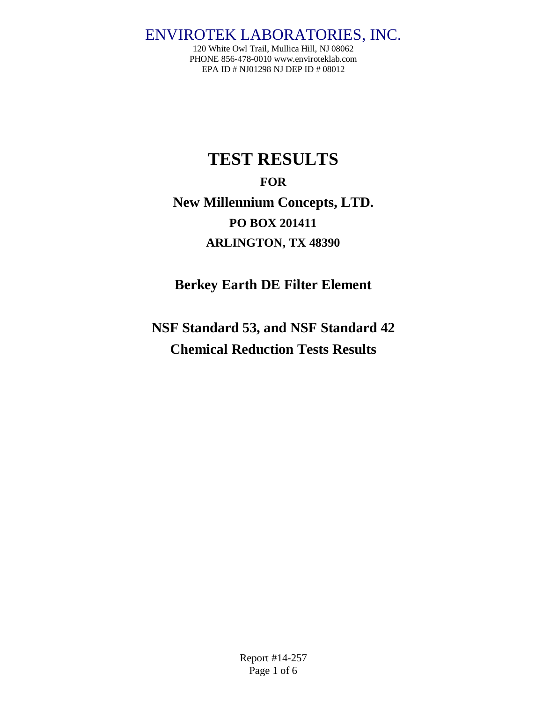120 White Owl Trail, Mullica Hill, NJ 08062 PHONE 856-478-0010 www.enviroteklab.com EPA ID # NJ01298 NJ DEP ID # 08012

# **TEST RESULTS FOR New Millennium Concepts, LTD. PO BOX 201411 ARLINGTON, TX 48390**

**Berkey Earth DE Filter Element**

**NSF Standard 53, and NSF Standard 42 Chemical Reduction Tests Results**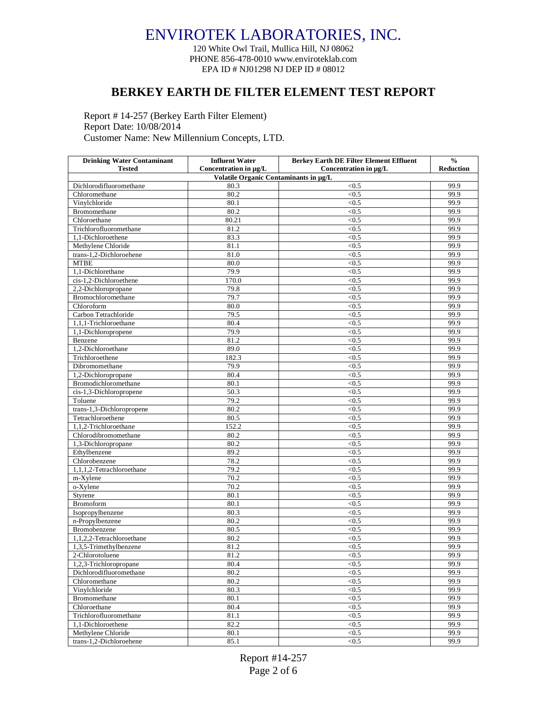120 White Owl Trail, Mullica Hill, NJ 08062 PHONE 856-478-0010 www.enviroteklab.com EPA ID # NJ01298 NJ DEP ID # 08012

#### **BERKEY EARTH DE FILTER ELEMENT TEST REPORT**

Report # 14-257 (Berkey Earth Filter Element) Report Date: 10/08/2014 Customer Name: New Millennium Concepts, LTD.

| <b>Drinking Water Contaminant</b>        | <b>Influent Water</b> | <b>Berkey Earth DE Filter Element Effluent</b> | $\frac{0}{0}$    |
|------------------------------------------|-----------------------|------------------------------------------------|------------------|
| <b>Tested</b>                            | Concentration in µg/L | Concentration in µg/L                          | <b>Reduction</b> |
| Volatile Organic Contaminants in µg/L    |                       |                                                |                  |
| Dichlorodifluoromethane<br>Chloromethane | 80.3<br>80.2          | < 0.5<br>< 0.5                                 | 99.9<br>99.9     |
| Vinylchloride                            | 80.1                  | < 0.5                                          | 99.9             |
| Bromomethane                             | 80.2                  | < 0.5                                          | 99.9             |
| Chloroethane                             | 80.21                 | < 0.5                                          | 99.9             |
| Trichlorofluoromethane                   | 81.2                  | < 0.5                                          | 99.9             |
| 1,1-Dichloroethene                       | 83.3                  | < 0.5                                          | 99.9             |
| Methylene Chloride                       | 81.1                  | < 0.5                                          | 99.9             |
| trans-1,2-Dichloroehene                  | 81.0                  | < 0.5                                          | 99.9             |
| <b>MTBE</b>                              | 80.0                  | < 0.5                                          | 99.9             |
| 1.1-Dichlorethane                        | 79.9                  | < 0.5                                          | 99.9             |
| cis-1,2-Dichloroethene                   | 170.0                 | < 0.5                                          | 99.9             |
| 2,2-Dichloropropane                      | 79.8                  | < 0.5                                          | 99.9             |
| Bromochloromethane                       | 79.7                  | < 0.5                                          | 99.9             |
| Chloroform                               | 80.0                  | < 0.5                                          | 99.9             |
| Carbon Tetrachloride                     | 79.5                  | < 0.5                                          | 99.9             |
| 1,1,1-Trichloroethane                    | 80.4                  | < 0.5                                          | 99.9             |
| 1,1-Dichloropropene                      | 79.9                  | < 0.5                                          | 99.9             |
| Benzene                                  | 81.2                  | < 0.5                                          | 99.9             |
| 1.2-Dichloroethane                       | 89.0                  | < 0.5                                          | 99.9             |
| Trichloroethene                          | 182.3                 | < 0.5                                          | 99.9             |
| Dibromomethane                           | 79.9                  | < 0.5                                          | 99.9             |
| 1,2-Dichloropropane                      | 80.4                  | < 0.5                                          | 99.9             |
| Bromodichloromethane                     | 80.1                  | < 0.5                                          | 99.9             |
| cis-1,3-Dichloropropene                  | 50.3                  | $\overline{5}$                                 | 99.9             |
| Toluene                                  | 79.2                  | < 0.5                                          | 99.9             |
| trans-1,3-Dichloropropene                | 80.2                  | < 0.5                                          | 99.9             |
| Tetrachloroethene                        | 80.5                  | < 0.5                                          | 99.9             |
| 1,1,2-Trichloroethane                    | 152.2                 | < 0.5                                          | 99.9             |
| Chlorodibromomethane                     | 80.2                  | < 0.5                                          | 99.9             |
| 1,3-Dichloropropane                      | 80.2                  | < 0.5                                          | 99.9             |
| Ethylbenzene                             | 89.2                  | < 0.5                                          | 99.9             |
| Chlorobenzene                            | 78.2                  | < 0.5                                          | 99.9             |
| $1,1,1,2$ -Tetrachloroethane             | 79.2                  | < 0.5                                          | 99.9             |
| m-Xylene                                 | 70.2                  | < 0.5                                          | 99.9             |
| o-Xylene                                 | 70.2                  | < 0.5                                          | 99.9             |
| Styrene                                  | 80.1                  | < 0.5                                          | 99.9             |
| <b>Bromoform</b>                         | 80.1                  | < 0.5                                          | 99.9             |
| Isopropylbenzene                         | 80.3                  | < 0.5                                          | 99.9             |
| n-Propylbenzene                          | 80.2                  | < 0.5                                          | 99.9             |
| Bromobenzene                             | 80.5                  | < 0.5                                          | 99.9             |
| 1,1,2,2-Tetrachloroethane                | 80.2                  | $<$ 0.5                                        | 99.9             |
| 1,3,5-Trimethylbenzene                   | 81.2                  | < 0.5                                          | 99.9             |
| 2-Chlorotoluene                          | 81.2                  | < 0.5                                          | 99.9             |
| 1,2,3-Trichloropropane                   | 80.4                  | < 0.5                                          | 99.9             |
| Dichlorodifluoromethane                  | 80.2                  | < 0.5                                          | 99.9             |
| Chloromethane                            | 80.2                  | < 0.5                                          | 99.9             |
| Vinylchloride                            | 80.3                  | < 0.5                                          | 99.9             |
| Bromomethane                             | 80.1                  | < 0.5                                          | 99.9             |
| Chloroethane                             | 80.4                  | < 0.5                                          | 99.9             |
| Trichlorofluoromethane                   | 81.1                  | < 0.5                                          | 99.9             |
| 1,1-Dichloroethene                       | 82.2                  | < 0.5                                          | 99.9             |
| Methylene Chloride                       | 80.1                  | < 0.5                                          | 99.9             |
| trans-1,2-Dichloroehene                  | 85.1                  | < 0.5                                          | 99.9             |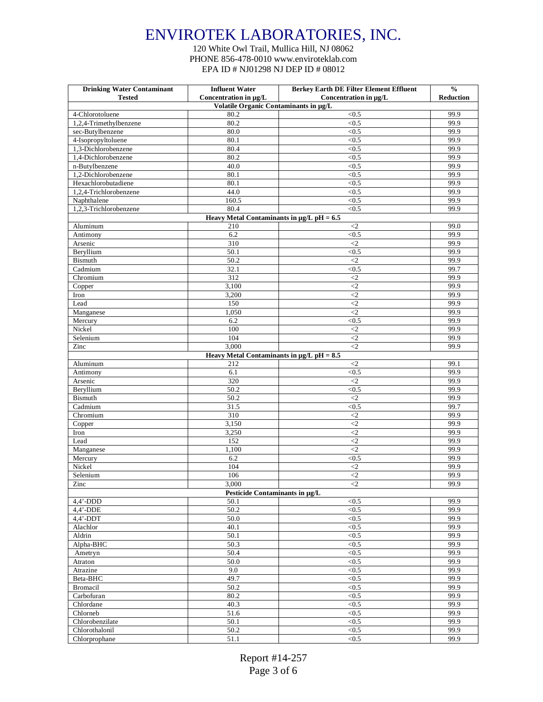120 White Owl Trail, Mullica Hill, NJ 08062 PHONE 856-478-0010 www.enviroteklab.com EPA ID # NJ01298 NJ DEP ID # 08012

| <b>Drinking Water Contaminant</b>     | <b>Influent Water</b>                          | <b>Berkey Earth DE Filter Element Effluent</b> | $\frac{0}{0}$    |
|---------------------------------------|------------------------------------------------|------------------------------------------------|------------------|
| <b>Tested</b>                         | Concentration in µg/L                          | Concentration in µg/L                          | <b>Reduction</b> |
|                                       | Volatile Organic Contaminants in µg/L          |                                                |                  |
| 4-Chlorotoluene                       | 80.2                                           | < 0.5                                          | 99.9             |
| 1,2,4-Trimethylbenzene                | 80.2                                           | < 0.5                                          | 99.9             |
| sec-Butylbenzene                      | 80.0                                           | < 0.5                                          | 99.9             |
| 4-Isopropyltoluene                    | 80.1                                           | < 0.5                                          | 99.9             |
| 1,3-Dichlorobenzene                   | 80.4                                           | < 0.5                                          | 99.9             |
| 1,4-Dichlorobenzene                   | 80.2                                           | < 0.5                                          | 99.9             |
| n-Butylbenzene<br>1,2-Dichlorobenzene | 40.0<br>80.1                                   | < 0.5<br>< 0.5                                 | 99.9<br>99.9     |
| Hexachlorobutadiene                   | 80.1                                           | < 0.5                                          | 99.9             |
| 1.2.4-Trichlorobenzene                | 44.0                                           | < 0.5                                          | 99.9             |
| Naphthalene                           | 160.5                                          | < 0.5                                          | 99.9             |
| 1,2,3-Trichlorobenzene                | 80.4                                           | < 0.5                                          | 99.9             |
|                                       | Heavy Metal Contaminants in $\mu$ g/L pH = 6.5 |                                                |                  |
| Aluminum                              | 210                                            | $\leq$ 2                                       | 99.0             |
| Antimony                              | 6.2                                            | < 0.5                                          | 99.9             |
| Arsenic                               | 310                                            | $\leq$ 2                                       | 99.9             |
| Beryllium                             | 50.1                                           | < 0.5                                          | 99.9             |
| Bismuth                               | 50.2                                           | $\leq$                                         | 99.9             |
| Cadmium                               | 32.1                                           | < 0.5                                          | 99.7             |
| Chromium                              | 312                                            | $\leq$                                         | 99.9             |
| Copper                                | 3,100                                          | $\leq$ 2                                       | 99.9             |
| Iron                                  | 3,200                                          | $\langle 2$                                    | 99.9             |
| Lead                                  | 150                                            | $\leq$                                         | 99.9             |
| Manganese                             | 1,050                                          | $\langle 2$                                    | 99.9             |
| Mercury                               | 6.2                                            | < 0.5                                          | 99.9             |
| Nickel                                | 100                                            | $\leq$ 2                                       | 99.9             |
| Selenium                              | 104                                            | $\langle$ 2                                    | 99.9             |
| Zinc                                  | 3,000                                          | $\leq$ 2                                       | 99.9             |
|                                       | Heavy Metal Contaminants in $\mu g/L$ pH = 8.5 |                                                |                  |
| Aluminum                              | 212                                            | $\leq$                                         | 99.1             |
| Antimony                              | 6.1                                            | < 0.5                                          | 99.9             |
| Arsenic                               | 320                                            | $\leq$                                         | 99.9             |
| Beryllium                             | 50.2                                           | < 0.5                                          | 99.9             |
| Bismuth                               | 50.2                                           | $\leq$ 2                                       | 99.9             |
| Cadmium                               | 31.5                                           | < 0.5                                          | 99.7             |
| Chromium                              | 310                                            | $\leq$                                         | 99.9             |
| Copper                                | 3,150                                          | $\langle 2$                                    | 99.9             |
| Iron                                  | 3,250                                          | $\leq$ 2                                       | 99.9             |
| Lead                                  | 152                                            | $\leq$                                         | 99.9             |
| Manganese                             | 1,100                                          | $\leq$ 2                                       | 99.9             |
| Mercury                               | 6.2                                            | < 0.5                                          | 99.9             |
| Nickel                                | 104                                            | $\leq$                                         | 99.9             |
| Selenium                              | 106                                            | $\overline{c}$                                 | 99.9             |
| Zinc                                  | 3,000                                          | $\leq$                                         | 99.9             |
|                                       | Pesticide Contaminants in µg/L                 |                                                |                  |
| $4,4$ '-DDD                           | 50.1                                           | < 0.5                                          | 99.9             |
| $4.4'$ -DDE                           | 50.2                                           | < 0.5                                          | 99.9             |
| $4.4'$ -DDT                           | 50.0                                           | < 0.5                                          | 99.9             |
| Alachlor                              | 40.1                                           | < 0.5                                          | 99.9             |
| Aldrin                                | 50.1                                           | < 0.5                                          | 99.9             |
| Alpha-BHC                             | 50.3                                           | < 0.5                                          | 99.9<br>99.9     |
| Ametryn                               | 50.4                                           | < 0.5                                          |                  |
| Atraton                               | 50.0<br>9.0                                    | < 0.5                                          | 99.9<br>99.9     |
| Atrazine<br>Beta-BHC                  | 49.7                                           | < 0.5<br>$<0.5$                                | 99.9             |
| Bromacil                              | 50.2                                           | $<0.5$                                         | 99.9             |
| Carbofuran                            | 80.2                                           | < 0.5                                          | 99.9             |
| Chlordane                             | 40.3                                           | < 0.5                                          | 99.9             |
| Chlorneb                              | 51.6                                           | < 0.5                                          | 99.9             |
| Chlorobenzilate                       | 50.1                                           | < 0.5                                          | 99.9             |
| Chlorothalonil                        | 50.2                                           | < 0.5                                          | 99.9             |
| Chlorprophane                         | 51.1                                           | < 0.5                                          | 99.9             |
|                                       |                                                |                                                |                  |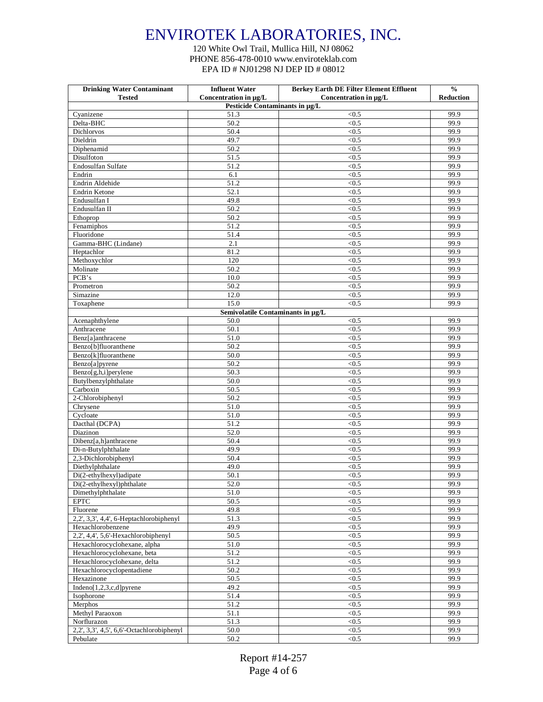120 White Owl Trail, Mullica Hill, NJ 08062 PHONE 856-478-0010 www.enviroteklab.com EPA ID # NJ01298 NJ DEP ID # 08012

| <b>Drinking Water Contaminant</b>         | <b>Influent Water</b>             | <b>Berkey Earth DE Filter Element Effluent</b> | $\frac{0}{0}$    |
|-------------------------------------------|-----------------------------------|------------------------------------------------|------------------|
| <b>Tested</b>                             | Concentration in µg/L             | Concentration in µg/L                          | <b>Reduction</b> |
|                                           | Pesticide Contaminants in µg/L    |                                                |                  |
| Cyanizene                                 | 51.3                              | < 0.5                                          | 99.9             |
| Delta-BHC                                 | 50.2                              | < 0.5                                          | 99.9             |
| Dichlorvos                                | 50.4                              | < 0.5                                          | 99.9             |
| Dieldrin<br>Diphenamid                    | 49.7                              | < 0.5                                          | 99.9             |
|                                           | 50.2                              | < 0.5                                          | 99.9<br>99.9     |
| Disulfoton                                | 51.5                              | < 0.5                                          | 99.9             |
| Endosulfan Sulfate<br>Endrin              | 51.2<br>6.1                       | < 0.5<br>< 0.5                                 | 99.9             |
| Endrin Aldehide                           | 51.2                              | < 0.5                                          | 99.9             |
| Endrin Ketone                             | 52.1                              | < 0.5                                          | 99.9             |
| Endusulfan I                              | 49.8                              | < 0.5                                          | 99.9             |
| Endusulfan II                             | 50.2                              | < 0.5                                          | 99.9             |
| Ethoprop                                  | 50.2                              | < 0.5                                          | 99.9             |
| Fenamiphos                                | 51.2                              | < 0.5                                          | 99.9             |
| Fluoridone                                | 51.4                              | < 0.5                                          | 99.9             |
| Gamma-BHC (Lindane)                       | 2.1                               | < 0.5                                          | 99.9             |
| Heptachlor                                | 81.2                              | < 0.5                                          | 99.9             |
| Methoxychlor                              | 120                               | < 0.5                                          | 99.9             |
| Molinate                                  | 50.2                              | < 0.5                                          | 99.9             |
| PCB's                                     | 10.0                              | < 0.5                                          | 99.9             |
| Prometron                                 | 50.2                              | < 0.5                                          | 99.9             |
| Simazine                                  | 12.0                              | < 0.5                                          | 99.9             |
| Toxaphene                                 | 15.0                              | < 0.5                                          | 99.9             |
|                                           | Semivolatile Contaminants in µg/L |                                                |                  |
| Acenaphthylene                            | 50.0                              | < 0.5                                          | 99.9             |
| Anthracene                                | 50.1                              | < 0.5                                          | 99.9             |
| Benz[a]anthracene                         | 51.0                              | < 0.5                                          | 99.9             |
| Benzo[b]fluoranthene                      | 50.2                              | < 0.5                                          | 99.9             |
| Benzo[k]fluoranthene                      | 50.0                              | < 0.5                                          | 99.9             |
| Benzo[a]pyrene                            | 50.2                              | < 0.5                                          | 99.9             |
| Benzo[g,h,i]perylene                      | 50.3                              | < 0.5                                          | 99.9             |
| Butylbenzylphthalate                      | 50.0                              | < 0.5                                          | 99.9             |
| Carboxin                                  | 50.5                              | < 0.5                                          | 99.9             |
| 2-Chlorobiphenyl                          | 50.2                              | < 0.5                                          | 99.9             |
| Chrysene                                  | 51.0                              | < 0.5                                          | 99.9             |
| Cycloate                                  | 51.0                              | < 0.5                                          | 99.9             |
| Dacthal (DCPA)                            | 51.2                              | < 0.5                                          | 99.9             |
| Diazinon                                  | 52.0                              | < 0.5                                          | 99.9             |
| Dibenz[a,h]anthracene                     | 50.4                              | < 0.5                                          | 99.9             |
| Di-n-Butylphthalate                       | 49.9                              | < 0.5                                          | 99.9             |
| 2,3-Dichlorobiphenyl                      | 50.4                              | < 0.5                                          | 99.9             |
| Diethylphthalate                          | 49.0                              | < 0.5                                          | 99.9             |
| Di(2-ethylhexyl)adipate                   | 50.1                              | < 0.5                                          | 99.9             |
| Di(2-ethylhexyl)phthalate                 | 52.0                              | <0.5                                           | 99.9             |
| Dimethylphthalate                         | 51.0                              | < 0.5                                          | 99.9             |
| <b>EPTC</b>                               | 50.5                              | < 0.5                                          | 99.9             |
| Fluorene                                  | 49.8                              | < 0.5                                          | 99.9             |
| 2,2', 3,3', 4,4', 6-Heptachlorobiphenyl   | 51.3                              | < 0.5                                          | 99.9             |
| Hexachlorobenzene                         | 49.9                              | < 0.5                                          | 99.9             |
| 2,2', 4,4', 5,6'-Hexachlorobiphenyl       | 50.5                              | < 0.5                                          | 99.9             |
| Hexachlorocyclohexane, alpha              | 51.0                              | < 0.5                                          | 99.9             |
| Hexachlorocyclohexane, beta               | 51.2                              | < 0.5                                          | 99.9             |
| Hexachlorocyclohexane, delta              | 51.2                              | < 0.5                                          | 99.9             |
| Hexachlorocyclopentadiene                 | 50.2                              | < 0.5                                          | 99.9             |
| Hexazinone                                | 50.5                              | $<0.5$                                         | 99.9             |
| Indeno[1,2,3,c,d]pyrene                   | 49.2                              | < 0.5                                          | 99.9             |
| Isophorone                                | 51.4                              | < 0.5                                          | 99.9             |
| Merphos                                   | 51.2                              | < 0.5                                          | 99.9             |
| Methyl Paraoxon                           | 51.1                              | < 0.5                                          | 99.9             |
| Norflurazon                               | 51.3                              | < 0.5                                          | 99.9             |
| 2,2', 3,3', 4,5', 6,6'-Octachlorobiphenyl | 50.0                              | $\sqrt{0.5}$                                   | 99.9             |
| Pebulate                                  | 50.2                              | < 0.5                                          | 99.9             |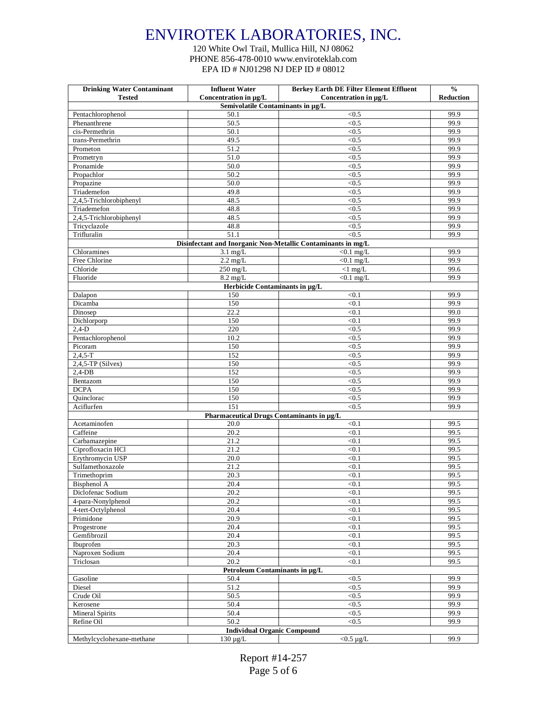120 White Owl Trail, Mullica Hill, NJ 08062 PHONE 856-478-0010 www.enviroteklab.com EPA ID # NJ01298 NJ DEP ID # 08012

| <b>Drinking Water Contaminant</b>  | <b>Influent Water</b>                             | <b>Berkey Earth DE Filter Element Effluent</b>               | $\frac{0}{0}$ |
|------------------------------------|---------------------------------------------------|--------------------------------------------------------------|---------------|
| <b>Tested</b>                      | Concentration in µg/L                             | Concentration in µg/L                                        | Reduction     |
|                                    | Semivolatile Contaminants in µg/L                 |                                                              |               |
| Pentachlorophenol                  | 50.1                                              | < 0.5                                                        | 99.9          |
| Phenanthrene                       | 50.5<br>50.1                                      | < 0.5                                                        | 99.9          |
| cis-Permethrin<br>trans-Permethrin | 49.5                                              | < 0.5<br>< 0.5                                               | 99.9<br>99.9  |
| Prometon                           | 51.2                                              | < 0.5                                                        | 99.9          |
|                                    | 51.0                                              | < 0.5                                                        | 99.9          |
| Prometryn<br>Pronamide             | 50.0                                              | < 0.5                                                        | 99.9          |
| Propachlor                         | 50.2                                              | < 0.5                                                        | 99.9          |
| Propazine                          | 50.0                                              | < 0.5                                                        | 99.9          |
| Triademefon                        | 49.8                                              | < 0.5                                                        | 99.9          |
| 2,4,5-Trichlorobiphenyl            | 48.5                                              | < 0.5                                                        | 99.9          |
| Triademefon                        | 48.8                                              | < 0.5                                                        | 99.9          |
| 2,4,5-Trichlorobiphenyl            | 48.5                                              | < 0.5                                                        | 99.9          |
| Tricyclazole                       | 48.8                                              | < 0.5                                                        | 99.9          |
| Trifluralin                        | 51.1                                              | < 0.5                                                        | 99.9          |
|                                    |                                                   | Disinfectant and Inorganic Non-Metallic Contaminants in mg/L |               |
| Chloramines                        | $3.1$ mg/L                                        | $< 0.1$ mg/L                                                 | 99.9          |
| Free Chlorine                      | $2.2 \text{ mg/L}$                                | $< 0.1$ mg/L                                                 | 99.9          |
| Chloride                           | $250$ mg/L                                        | $<1$ mg/L                                                    | 99.6          |
| Fluoride                           | $8.2 \text{ mg/L}$                                | $< 0.1$ mg/L                                                 | 99.9          |
|                                    | Herbicide Contaminants in µg/L                    |                                                              |               |
| Dalapon                            | 150                                               | < 0.1                                                        | 99.9          |
| Dicamba                            | 150                                               | < 0.1                                                        | 99.9          |
| Dinosep                            | 22.2                                              | < 0.1                                                        | 99.0          |
| Dichlorporp                        | 150                                               | < 0.1                                                        | 99.9          |
| $2,4-D$                            | 220                                               | < 0.5                                                        | 99.9          |
| Pentachlorophenol                  | 10.2                                              | < 0.5                                                        | 99.9          |
| Picoram                            | 150                                               | < 0.5                                                        | 99.9          |
| $2,4,5-T$                          | 152                                               | < 0.5                                                        | 99.9          |
| $2,4,5$ -TP (Silvex)               | 150                                               | < 0.5                                                        | 99.9          |
| $2,4$ -DB                          | 152                                               | < 0.5                                                        | 99.9          |
| Bentazom                           | 150                                               | < 0.5                                                        | 99.9          |
| <b>DCPA</b>                        | 150                                               | < 0.5                                                        | 99.9          |
| Quinclorac                         | 150                                               | < 0.5<br>< 0.5                                               | 99.9<br>99.9  |
| Aciflurfen                         | 151                                               |                                                              |               |
|                                    | Pharmaceutical Drugs Contaminants in µg/L<br>20.0 | < 0.1                                                        | 99.5          |
| Acetaminofen<br>Caffeine           | 20.2                                              | < 0.1                                                        | 99.5          |
| Carbamazepine                      | 21.2                                              | < 0.1                                                        | 99.5          |
| Ciprofloxacin HCl                  | 21.2                                              | < 0.1                                                        | 99.5          |
| Erythromycin USP                   | 20.0                                              | < 0.1                                                        | 99.5          |
| Sulfamethoxazole                   | 21.2                                              | < 0.1                                                        | 99.5          |
| Trimethoprim                       | 20.3                                              | < 0.1                                                        | 99.5          |
| Bisphenol A                        | 20.4                                              | < 0.1                                                        | 99.5          |
| Diclofenac Sodium                  | 20.2                                              | < 0.1                                                        | 99.5          |
| 4-para-Nonylphenol                 | 20.2                                              | < 0.1                                                        | 99.5          |
| 4-tert-Octylphenol                 | 20.4                                              | < 0.1                                                        | 99.5          |
| Primidone                          | 20.9                                              | < 0.1                                                        | 99.5          |
| Progestrone                        | 20.4                                              | < 0.1                                                        | 99.5          |
| Gemfibrozil                        | 20.4                                              | < 0.1                                                        | 99.5          |
| Ibuprofen                          | 20.3                                              | < 0.1                                                        | 99.5          |
| Naproxen Sodium                    | 20.4                                              | < 0.1                                                        | 99.5          |
| Triclosan                          | 20.2                                              | < 0.1                                                        | 99.5          |
| Petroleum Contaminants in µg/L     |                                                   |                                                              |               |
| Gasoline                           | 50.4                                              | < 0.5                                                        | 99.9          |
| Diesel                             | 51.2                                              | $<0.5$                                                       | 99.9          |
| Crude Oil                          | 50.5                                              | $<0.5$                                                       | 99.9          |
| Kerosene                           | 50.4                                              | $\overline{<}0.5$                                            | 99.9          |
| <b>Mineral Spirits</b>             | 50.4                                              | $<0.5$                                                       | 99.9          |
| Refine Oil                         | 50.2                                              | < 0.5                                                        | 99.9          |
|                                    | <b>Individual Organic Compound</b>                |                                                              |               |
| Methylcyclohexane-methane          | $130 \mu g/L$                                     | $<$ 0.5 µg/L                                                 | 99.9          |